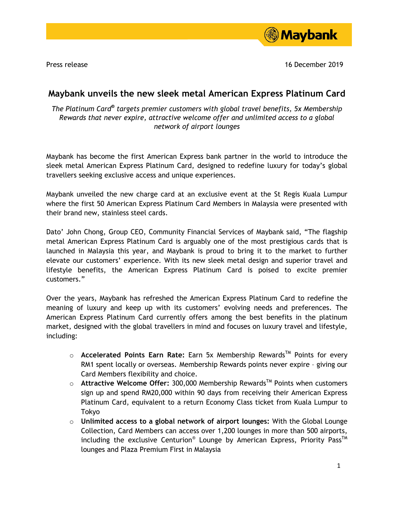

Press release 16 December 2019

## **Maybank unveils the new sleek metal American Express Platinum Card**

*The Platinum Card***®** *targets premier customers with global travel benefits, 5x Membership Rewards that never expire, attractive welcome offer and unlimited access to a global network of airport lounges*

Maybank has become the first American Express bank partner in the world to introduce the sleek metal American Express Platinum Card, designed to redefine luxury for today's global travellers seeking exclusive access and unique experiences.

Maybank unveiled the new charge card at an exclusive event at the St Regis Kuala Lumpur where the first 50 American Express Platinum Card Members in Malaysia were presented with their brand new, stainless steel cards.

Dato' John Chong, Group CEO, Community Financial Services of Maybank said, "The flagship metal American Express Platinum Card is arguably one of the most prestigious cards that is launched in Malaysia this year, and Maybank is proud to bring it to the market to further elevate our customers' experience. With its new sleek metal design and superior travel and lifestyle benefits, the American Express Platinum Card is poised to excite premier customers."

Over the years, Maybank has refreshed the American Express Platinum Card to redefine the meaning of luxury and keep up with its customers' evolving needs and preferences. The American Express Platinum Card currently offers among the best benefits in the platinum market, designed with the global travellers in mind and focuses on luxury travel and lifestyle, including:

- o **Accelerated Points Earn Rate:** Earn 5x Membership RewardsTM Points for every RM1 spent locally or overseas. Membership Rewards points never expire – giving our Card Members flexibility and choice.
- o **Attractive Welcome Offer:** 300,000 Membership RewardsTM Points when customers sign up and spend RM20,000 within 90 days from receiving their American Express Platinum Card, equivalent to a return Economy Class ticket from Kuala Lumpur to Tokyo
- o **Unlimited access to a global network of airport lounges:** With the Global Lounge Collection, Card Members can access over 1,200 lounges in more than 500 airports, including the exclusive Centurion® Lounge by American Express, Priority Pass<sup>™</sup> lounges and Plaza Premium First in Malaysia